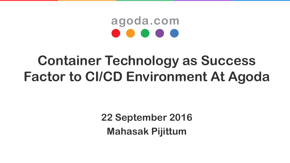# agoda.com

# **Container Technology as Success Factor to CI/CD Environment At Agoda**

**22 September 2016 Mahasak Pijittum**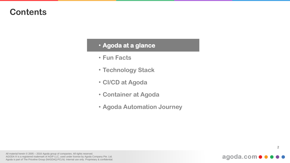#### • **Agoda at a glance**

- **Fun Facts**
- **Technology Stack**
- **CI/CD at Agoda**
- **Container at Agoda**
- **Agoda Automation Journey**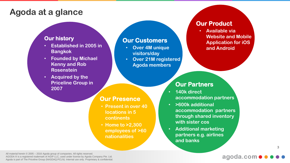#### **Agoda at a glance**

#### **Our history**

- **Established in 2005 in Bangkok**
- **Founded by Michael Kenny and Rob Rosenstein**
- **Acquired by the Priceline Group in 2007**

#### **Our Customers**

**Our Presence**

**locations in 5** 

• **Home to >2,300** 

**nationalities** 

**employees of >60** 

**continents**

• **Present in over 40** 

- **Over 4M unique visitors/day**
- **Over 21M registered Agoda members**

- **accommodation partners**
- **>600k additional accommodation partners through shared inventory with sister cos**
- **partners e.g. airlines and banks**

#### **and Android**

**Our Product**

• **Available via** 

**Website and Mobile** 

**Application for iOS** 

#### **Our Partners**

- **140k direct**
- **Additional marketing** 
	-

All material herein © 2005 – 2016 Agoda group of companies. All rights reserved. AGODA ® is a registered trademark of AGIP LLC, used under license by Agoda Company Pte. Ltd. Agoda is part of The Priceline Group (NASDAQ:PCLN). Internal use only. Proprietary & confidential.

#### agoda.com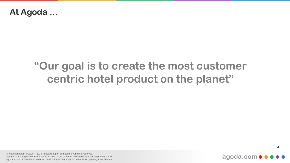#### **At Agoda …**

## **"Our goal is to create the most customer centric hotel product on the planet"**

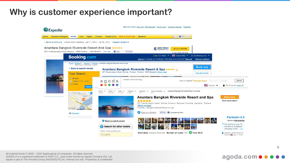### **Why is customer experience important?**



agoda.com • • •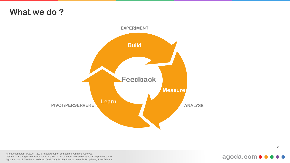### **What we do ?**



#### agoda.com ···  $\bullet$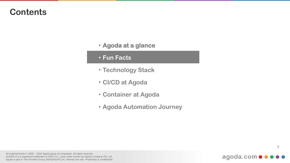- **Agoda at a glance**
- **Fun Facts**
- **Technology Stack**
- **CI/CD at Agoda**
- **Container at Agoda**
- **Agoda Automation Journey**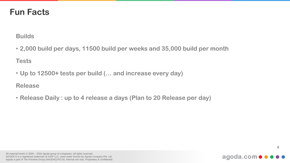### **Fun Facts**

**Builds**

• **2,000 build per days, 11500 build per weeks and 35,000 build per month**

**Tests**

• **Up to 12500+ tests per build (… and increase every day)**

**Release**

• **Release Daily : up to 4 release a days (Plan to 20 Release per day)**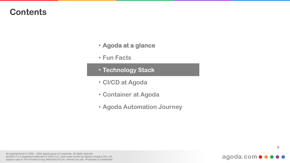- **Agoda at a glance**
- **Fun Facts**
- **Technology Stack**
- **CI/CD at Agoda**
- **Container at Agoda**
- **Agoda Automation Journey**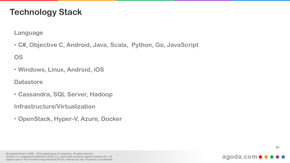### **Technology Stack**

**Language**

• **C#, Objective C, Android, Java, Scala, Python, Go, JavaScript**

**OS**

• **Windows, Linux, Android, iOS**

**Datastore**

• **Cassandra, SQL Server, Hadoop**

**Infrastructure/Virtualization**

• **OpenStack, Hyper-V, Azure, Docker**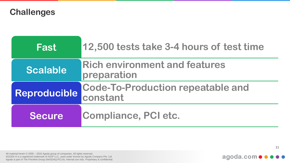**Challenges**

| Fast          | 12,500 tests take 3-4 hours of test time             |
|---------------|------------------------------------------------------|
| Scalable      | <b>Rich environment and features</b><br>preparation  |
| Reproducible  | <b>Code-To-Production repeatable and</b><br>constant |
| <b>Secure</b> | Compliance, PCI etc.                                 |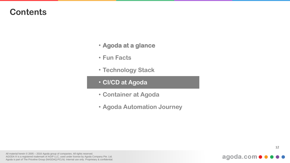- **Agoda at a glance**
- **Fun Facts**
- **Technology Stack**
- **CI/CD at Agoda**
- **Container at Agoda**
- **Agoda Automation Journey**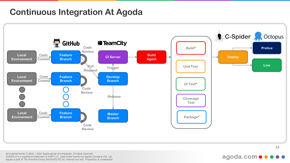### **Continuous Integration At Agoda**



All material herein © 2005 – 2016 Agoda group of companies. All rights reserved. AGODA ® is a registered trademark of AGIP LLC, used under license by Agoda Company Pte. Ltd. Agoda is part of The Priceline Group (NASDAQ:PCLN). Internal use only. Proprietary & confidential.

#### agoda.com •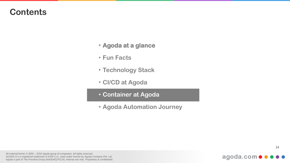- **Agoda at a glance**
- **Fun Facts**
- **Technology Stack**
- **CI/CD at Agoda**
- **Container at Agoda**
- **Agoda Automation Journey**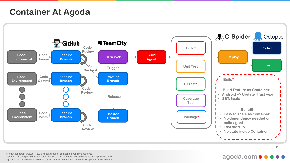### **Container At Agoda**



All material herein © 2005 – 2016 Agoda group of companies. All rights reserved. AGODA ® is a registered trademark of AGIP LLC, used under license by Agoda Company Pte. Ltd. Agoda is part of The Priceline Group (NASDAQ:PCLN). Internal use only. Proprietary & confidential.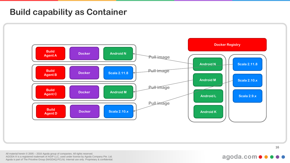#### **Build capability as Container**



#### agoda.com • • •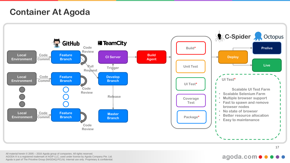### **Container At Agoda**

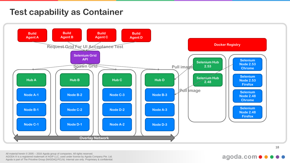### **Test capability as Container**

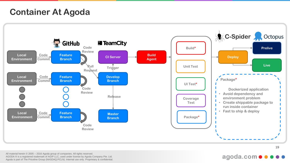### **Container At Agoda**

![](_page_18_Figure_1.jpeg)

All material herein © 2005 – 2016 Agoda group of companies. All rights reserved. AGODA ® is a registered trademark of AGIP LLC, used under license by Agoda Company Pte. Ltd. Agoda is part of The Priceline Group (NASDAQ:PCLN). Internal use only. Proprietary & confidential.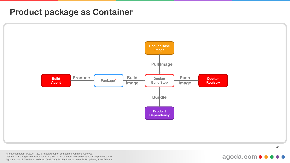#### **Product package as Container**

![](_page_19_Figure_1.jpeg)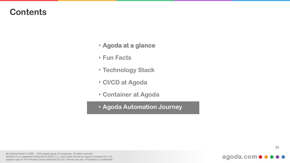- **Agoda at a glance**
- **Fun Facts**
- **Technology Stack**
- **CI/CD at Agoda**
- **Container at Agoda**
- **Agoda Automation Journey**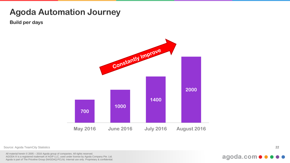### **Agoda Automation Journey**

**Build per days**

![](_page_21_Figure_2.jpeg)

Source: Agoda TeamCity Statistics

All material herein © 2005 – 2016 Agoda group of companies. All rights reserved. AGODA ® is a registered trademark of AGIP LLC, used under license by Agoda Company Pte. Ltd. Agoda is part of The Priceline Group (NASDAQ:PCLN). Internal use only. Proprietary & confidential. 22

#### agoda.com ·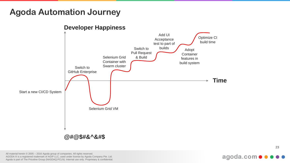### **Agoda Automation Journey**

![](_page_22_Figure_1.jpeg)

#### **Developer Happiness**

All material herein © 2005 – 2016 Agoda group of companies. All rights reserved. AGODA ® is a registered trademark of AGIP LLC, used under license by Agoda Company Pte. Ltd. Agoda is part of The Priceline Group (NASDAQ:PCLN). Internal use only. Proprietary & confidential.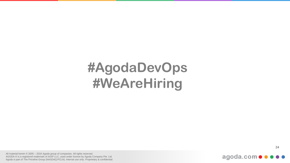# **#AgodaDevOps #WeAreHiring**

agoda.com · ·